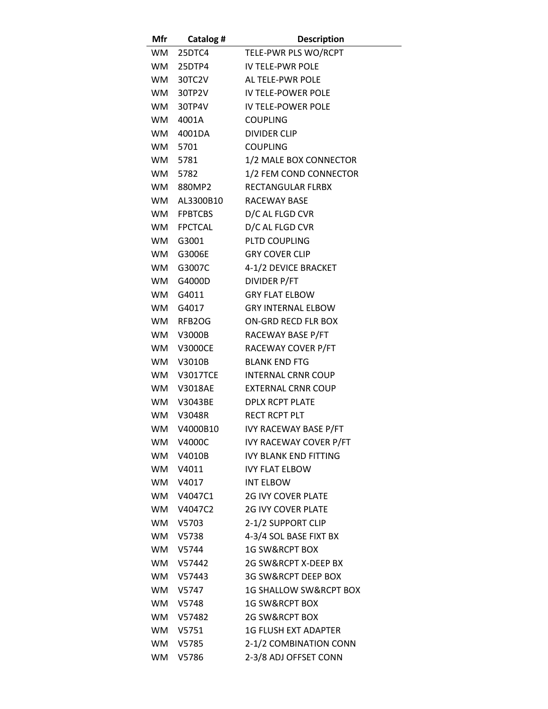| <b>Mfr</b> | <b>Catalog #</b>         | <b>Description</b>                                     |
|------------|--------------------------|--------------------------------------------------------|
|            | WM 25DTC4                | TELE-PWR PLS WO/RCPT                                   |
|            | WM 25DTP4                | IV TELE-PWR POLE                                       |
|            | WM 30TC2V                | AL TELE-PWR POLE                                       |
|            | WM 30TP2V                | IV TELE-POWER POLE                                     |
|            | WM 30TP4V                | IV TELE-POWER POLE                                     |
|            | WM 4001A                 | <b>COUPLING</b>                                        |
|            | WM 4001DA                | <b>DIVIDER CLIP</b>                                    |
|            | WM 5701                  | <b>COUPLING</b>                                        |
|            | WM 5781                  | 1/2 MALE BOX CONNECTOR                                 |
|            | WM 5782                  | 1/2 FEM COND CONNECTOR                                 |
|            | WM 880MP2                | RECTANGULAR FLRBX                                      |
|            | WM AL3300B10             | <b>RACEWAY BASE</b>                                    |
|            | WM FPBTCBS               | D/C AL FLGD CVR                                        |
|            | WM FPCTCAL               | D/C AL FLGD CVR                                        |
|            | WM G3001                 | <b>PLTD COUPLING</b>                                   |
|            | WM G3006E                | <b>GRY COVER CLIP</b>                                  |
|            | WM G3007C                | 4-1/2 DEVICE BRACKET                                   |
|            | WM G4000D                | <b>DIVIDER P/FT</b>                                    |
|            | WM G4011                 | <b>GRY FLAT ELBOW</b>                                  |
|            | WM G4017                 | <b>GRY INTERNAL ELBOW</b>                              |
|            | WM RFB2OG                | ON-GRD RECD FLR BOX                                    |
|            | WM V3000B                | RACEWAY BASE P/FT                                      |
|            | WM V3000CE               | RACEWAY COVER P/FT                                     |
|            | WM V3010B                | <b>BLANK END FTG</b>                                   |
|            | <b>WM V3017TCE</b>       | <b>INTERNAL CRNR COUP</b>                              |
|            | WM V3018AE               | <b>EXTERNAL CRNR COUP</b>                              |
|            | WM V3043BE               | <b>DPLX RCPT PLATE</b>                                 |
|            | WM V3048R                | <b>RECT RCPT PLT</b>                                   |
| WM         | V4000B10                 | <b>IVY RACEWAY BASE P/FT</b>                           |
|            | WM V4000C                | <b>IVY RACEWAY COVER P/FT</b>                          |
|            | WM V4010B                | <b>IVY BLANK END FITTING</b>                           |
| <b>WM</b>  | V4011                    | <b>IVY FLAT ELBOW</b>                                  |
|            | WM V4017                 | <b>INT ELBOW</b>                                       |
|            | WM V4047C1<br>WM V4047C2 | <b>2G IVY COVER PLATE</b><br><b>2G IVY COVER PLATE</b> |
|            | WM V5703                 | 2-1/2 SUPPORT CLIP                                     |
|            | WM V5738                 | 4-3/4 SOL BASE FIXT BX                                 |
|            | WM V5744                 | <b>1G SW&amp;RCPT BOX</b>                              |
|            | WM V57442                | 2G SW&RCPT X-DEEP BX                                   |
|            | WM V57443                | 3G SW&RCPT DEEP BOX                                    |
|            | WM V5747                 | <b>1G SHALLOW SW&amp;RCPT BOX</b>                      |
|            | WM V5748                 | <b>1G SW&amp;RCPT BOX</b>                              |
|            | WM V57482                | <b>2G SW&amp;RCPT BOX</b>                              |
|            | WM V5751                 | <b>1G FLUSH EXT ADAPTER</b>                            |
|            | WM V5785                 | 2-1/2 COMBINATION CONN                                 |
|            | WM V5786                 | 2-3/8 ADJ OFFSET CONN                                  |